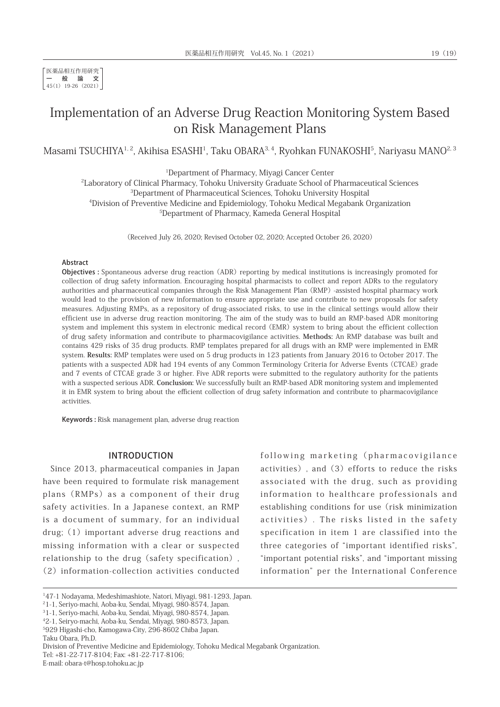# Implementation of an Adverse Drug Reaction Monitoring System Based on Risk Management Plans

Masami TSUCHIYA<sup>1,2</sup>, Akihisa ESASHI<sup>1</sup>, Taku OBARA<sup>3,4</sup>, Ryohkan FUNAKOSHI<sup>5</sup>, Nariyasu MANO<sup>2, 3</sup>

1 Department of Pharmacy, Miyagi Cancer Center

2 Laboratory of Clinical Pharmacy, Tohoku University Graduate School of Pharmaceutical Sciences 3 Department of Pharmaceutical Sciences, Tohoku University Hospital 4 Division of Preventive Medicine and Epidemiology, Tohoku Medical Megabank Organization

5 Department of Pharmacy, Kameda General Hospital

(Received July 26, 2020; Revised October 02, 2020; Accepted October 26, 2020)

#### Abstract

Objectives : Spontaneous adverse drug reaction (ADR) reporting by medical institutions is increasingly promoted for collection of drug safety information. Encouraging hospital pharmacists to collect and report ADRs to the regulatory authorities and pharmaceutical companies through the Risk Management Plan (RMP) -assisted hospital pharmacy work would lead to the provision of new information to ensure appropriate use and contribute to new proposals for safety measures. Adjusting RMPs, as a repository of drug-associated risks, to use in the clinical settings would allow their efficient use in adverse drug reaction monitoring. The aim of the study was to build an RMP-based ADR monitoring system and implement this system in electronic medical record (EMR) system to bring about the efficient collection of drug safety information and contribute to pharmacovigilance activities. **Methods:** An RMP database was built and contains 429 risks of 35 drug products. RMP templates prepared for all drugs with an RMP were implemented in EMR system. **Results:** RMP templates were used on 5 drug products in 123 patients from January 2016 to October 2017. The patients with a suspected ADR had 194 events of any Common Terminology Criteria for Adverse Events (CTCAE) grade and 7 events of CTCAE grade 3 or higher. Five ADR reports were submitted to the regulatory authority for the patients with a suspected serious ADR. **Conclusion:** We successfully built an RMP-based ADR monitoring system and implemented it in EMR system to bring about the efficient collection of drug safety information and contribute to pharmacovigilance activities.

Keywords : Risk management plan, adverse drug reaction

### INTRODUCTION

Since 2013, pharmaceutical companies in Japan have been required to formulate risk management plans (RMPs) as a component of their drug safety activities. In a Japanese context, an RMP is a document of summary, for an individual drug;  $(1)$  important adverse drug reactions and missing information with a clear or suspected relationship to the drug (safety specification). (2)information-collection activities conducted

following marketing (pharmacovigilance activities), and(3)efforts to reduce the risks associated with the drug, such as providing information to healthcare professionals and establishing conditions for use (risk minimization activities). The risks listed in the safety specification in item 1 are classified into the three categories of "important identified risks", "important potential risks", and "important missing information" per the International Conference

5 929 Higashi-cho, Kamogawa-City, 296-8602 Chiba Japan.

Taku Obara, Ph.D.

E-mail: obara-t@hosp.tohoku.ac.jp

<sup>1</sup> 47-1 Nodayama, Medeshimashiote, Natori, Miyagi, 981-1293, Japan.

<sup>2</sup> 1-1, Seriyo-machi, Aoba-ku, Sendai, Miyagi, 980-8574, Japan.

<sup>3</sup> 1-1, Seriyo-machi, Aoba-ku, Sendai, Miyagi, 980-8574, Japan.

<sup>4</sup> 2-1, Seiryo-machi, Aoba-ku, Sendai, Miyagi, 980-8573, Japan.

Division of Preventive Medicine and Epidemiology, Tohoku Medical Megabank Organization.

Tel: +81-22-717-8104; Fax: +81-22-717-8106;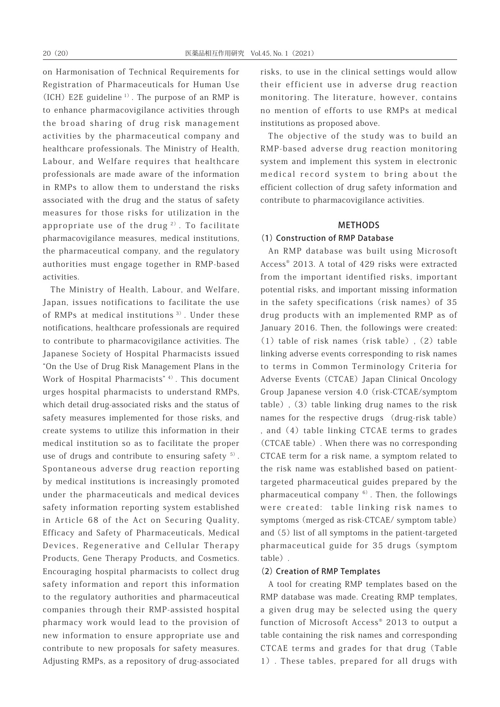on Harmonisation of Technical Requirements for Registration of Pharmaceuticals for Human Use (ICH) E2E guideline  $1$ <sup>1</sup>. The purpose of an RMP is to enhance pharmacovigilance activities through the broad sharing of drug risk management activities by the pharmaceutical company and healthcare professionals. The Ministry of Health, Labour, and Welfare requires that healthcare professionals are made aware of the information in RMPs to allow them to understand the risks associated with the drug and the status of safety measures for those risks for utilization in the appropriate use of the drug<sup>2</sup>. To facilitate pharmacovigilance measures, medical institutions, the pharmaceutical company, and the regulatory authorities must engage together in RMP-based activities.

The Ministry of Health, Labour, and Welfare, Japan, issues notifications to facilitate the use of RMPs at medical institutions<sup>3)</sup>. Under these notifications, healthcare professionals are required to contribute to pharmacovigilance activities. The Japanese Society of Hospital Pharmacists issued "On the Use of Drug Risk Management Plans in the Work of Hospital Pharmacists<sup>" 4)</sup>. This document urges hospital pharmacists to understand RMPs, which detail drug-associated risks and the status of safety measures implemented for those risks, and create systems to utilize this information in their medical institution so as to facilitate the proper use of drugs and contribute to ensuring safety  $5$ . Spontaneous adverse drug reaction reporting by medical institutions is increasingly promoted under the pharmaceuticals and medical devices safety information reporting system established in Article 68 of the Act on Securing Quality, Efficacy and Safety of Pharmaceuticals, Medical Devices, Regenerative and Cellular Therapy Products, Gene Therapy Products, and Cosmetics. Encouraging hospital pharmacists to collect drug safety information and report this information to the regulatory authorities and pharmaceutical companies through their RMP-assisted hospital pharmacy work would lead to the provision of new information to ensure appropriate use and contribute to new proposals for safety measures. Adjusting RMPs, as a repository of drug-associated

risks, to use in the clinical settings would allow their efficient use in adverse drug reaction monitoring. The literature, however, contains no mention of efforts to use RMPs at medical institutions as proposed above.

The objective of the study was to build an RMP-based adverse drug reaction monitoring system and implement this system in electronic medical record system to bring about the efficient collection of drug safety information and contribute to pharmacovigilance activities.

# METHODS

# (1) Construction of RMP Database

An RMP database was built using Microsoft Access® 2013. A total of 429 risks were extracted from the important identified risks, important potential risks, and important missing information in the safety specifications (risk names) of 35 drug products with an implemented RMP as of January 2016. Then, the followings were created:  $(1)$  table of risk names (risk table),  $(2)$  table linking adverse events corresponding to risk names to terms in Common Terminology Criteria for Adverse Events (CTCAE) Japan Clinical Oncology Group Japanese version 4.0(risk-CTCAE/symptom table), (3) table linking drug names to the risk names for the respective drugs (drug-risk table) , and (4) table linking CTCAE terms to grades (CTCAE table). When there was no corresponding CTCAE term for a risk name, a symptom related to the risk name was established based on patienttargeted pharmaceutical guides prepared by the pharmaceutical company  $6$ ). Then, the followings were created: table linking risk names to symptoms(merged as risk-CTCAE/ symptom table) and (5) list of all symptoms in the patient-targeted pharmaceutical guide for 35 drugs(symptom table).

#### (2) Creation of RMP Templates

A tool for creating RMP templates based on the RMP database was made. Creating RMP templates, a given drug may be selected using the query function of Microsoft Access® 2013 to output a table containing the risk names and corresponding CTCAE terms and grades for that drug (Table 1). These tables, prepared for all drugs with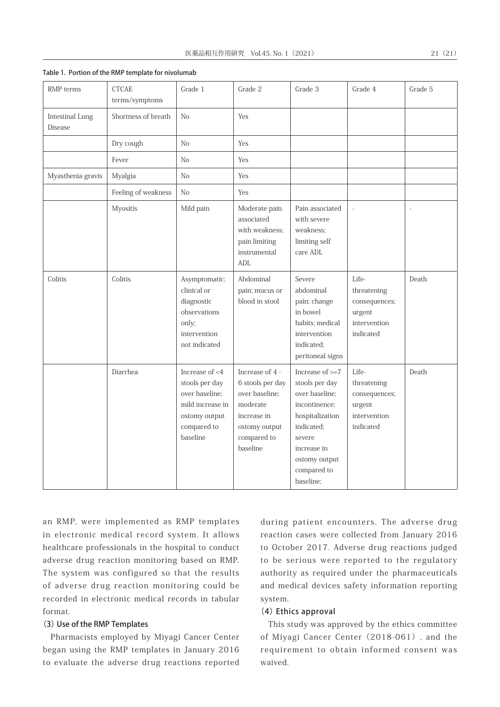| RMP template for nivolumab     |           |                                                                                |                                                                          |                          |                          |
|--------------------------------|-----------|--------------------------------------------------------------------------------|--------------------------------------------------------------------------|--------------------------|--------------------------|
| <b>CTCAE</b><br>terms/symptoms | Grade 1   | Grade 2                                                                        | Grade 3                                                                  | Grade 4                  | Grade 5                  |
| Shortness of breath            | No        | Yes                                                                            |                                                                          |                          |                          |
| Dry cough                      | No        | Yes                                                                            |                                                                          |                          |                          |
| Fever                          | No        | Yes                                                                            |                                                                          |                          |                          |
| Myalgia                        | No        | Yes                                                                            |                                                                          |                          |                          |
| Feeling of weakness            | No        | Yes                                                                            |                                                                          |                          |                          |
| <b>Myositis</b>                | Mild pain | Moderate pain<br>associated<br>with weakness:<br>pain limiting<br>instrumental | Pain associated<br>with severe<br>weakness;<br>limiting self<br>care ADL | $\overline{\phantom{a}}$ | $\overline{\phantom{a}}$ |

Table 1. Portion of the RMP template for nivolur

RMP terms | CTCAE

Intestinal Lung Disease

|                   | 1 U V U 1           | 1 V U                                                                                                              | 1 U J                                                                                                                        |                                                                                                                                                                               |                                                                              |       |
|-------------------|---------------------|--------------------------------------------------------------------------------------------------------------------|------------------------------------------------------------------------------------------------------------------------------|-------------------------------------------------------------------------------------------------------------------------------------------------------------------------------|------------------------------------------------------------------------------|-------|
| Myasthenia gravis | Myalgia             | N <sub>o</sub>                                                                                                     | Yes                                                                                                                          |                                                                                                                                                                               |                                                                              |       |
|                   | Feeling of weakness | N <sub>o</sub>                                                                                                     | Yes                                                                                                                          |                                                                                                                                                                               |                                                                              |       |
|                   | Myositis            | Mild pain                                                                                                          | Moderate pain<br>associated<br>with weakness:<br>pain limiting<br>instrumental<br>ADL                                        | Pain associated<br>with severe<br>weakness;<br>limiting self<br>care ADL                                                                                                      |                                                                              |       |
| Colitis           | Colitis             | Asymptomatic;<br>clinical or<br>diagnostic<br>observations<br>only;<br>intervention<br>not indicated               | Abdominal<br>pain; mucus or<br>blood in stool                                                                                | Severe<br>abdominal<br>pain; change<br>in bowel<br>habits; medical<br>intervention<br>indicated;<br>peritoneal signs                                                          | Life-<br>threatening<br>consequences;<br>urgent<br>intervention<br>indicated | Death |
|                   | Diarrhea            | Increase of <4<br>stools per day<br>over baseline;<br>mild increase in<br>ostomy output<br>compared to<br>baseline | Increase of 4 -<br>6 stools per day<br>over baseline;<br>moderate<br>increase in<br>ostomy output<br>compared to<br>baseline | Increase of $>=7$<br>stools per day<br>over baseline;<br>incontinence;<br>hospitalization<br>indicated;<br>severe<br>increase in<br>ostomy output<br>compared to<br>baseline: | Life-<br>threatening<br>consequences;<br>urgent<br>intervention<br>indicated | Death |

an RMP, were implemented as RMP templates in electronic medical record system. It allows healthcare professionals in the hospital to conduct adverse drug reaction monitoring based on RMP. The system was configured so that the results of adverse drug reaction monitoring could be recorded in electronic medical records in tabular format.

#### (3) Use of the RMP Templates

Pharmacists employed by Miyagi Cancer Center began using the RMP templates in January 2016 to evaluate the adverse drug reactions reported

during patient encounters. The adverse drug reaction cases were collected from January 2016 to October 2017. Adverse drug reactions judged to be serious were reported to the regulatory authority as required under the pharmaceuticals and medical devices safety information reporting system.

# (4) Ethics approval

This study was approved by the ethics committee of Miyagi Cancer Center(2018-061), and the requirement to obtain informed consent was waived.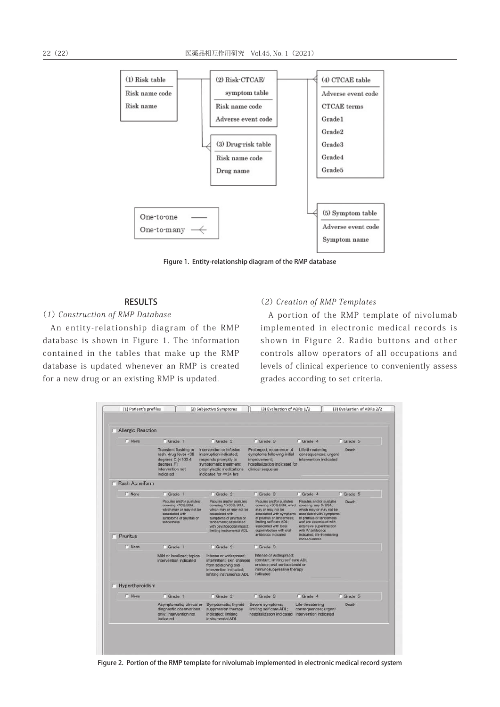

Figure 1. Entity-relationship diagram of the RMP database

# RESULTS

(1) Construction of RMP Database

An entity-relationship diagram of the RMP database is shown in Figure 1. The information contained in the tables that make up the RMP database is updated whenever an RMP is created for a new drug or an existing RMP is updated.

#### (2) Creation of RMP Templates

A portion of the RMP template of nivolumab implemented in electronic medical records is shown in Figure 2. Radio buttons and other controls allow operators of all occupations and levels of clinical experience to conveniently assess grades according to set criteria.

| <b>None</b>           | C Grade 1                                                                                                                            | C Grade 2                                                                                                                                                                                                   | C Grade 3                                                                                                                                                                                                                                                     | C Grade 4                                                                                                                                                                                                                 | C Grade 5 |
|-----------------------|--------------------------------------------------------------------------------------------------------------------------------------|-------------------------------------------------------------------------------------------------------------------------------------------------------------------------------------------------------------|---------------------------------------------------------------------------------------------------------------------------------------------------------------------------------------------------------------------------------------------------------------|---------------------------------------------------------------------------------------------------------------------------------------------------------------------------------------------------------------------------|-----------|
|                       | Transient flushing or<br>rash, drug fever <38<br>degrees $C$ (<100.4<br>degrees F);<br>intervention not<br>indicated                 | Intervention or infusion<br>interruption indicated;<br>responds promptly to<br>symptomatic treatment;<br>prophylactic medications<br>indicated for <= 24 hrs                                                | Prolonged; recurrence of<br>symptoms following initial<br>improvement;<br>hospitalization indicated for<br>clinical sequelae                                                                                                                                  | Life-threatening<br>consequences; urgent<br>intervention indicated                                                                                                                                                        | Death     |
| <b>Rash Acneiform</b> |                                                                                                                                      |                                                                                                                                                                                                             |                                                                                                                                                                                                                                                               |                                                                                                                                                                                                                           |           |
| C None                | C Grade 1                                                                                                                            | C Grade 2                                                                                                                                                                                                   | C Grade 3                                                                                                                                                                                                                                                     | C Grade 4                                                                                                                                                                                                                 | C Grade 5 |
| Pruritus              | Papules and/or pustules<br>covering <10% BSA.<br>which may or may not be<br>associated with<br>symptoms of pruritus or<br>tenderness | Papules and/or pustules<br>covering 10-30% BSA.<br>which may or may not be<br>associated with<br>symptoms of pruntus or<br>tenderness; associated<br>with psychosocial impact;<br>limiting instrumental ADL | Papules and/or pustules<br>covering >30% BSA, which covering any % BSA,<br>may or may not be<br>associated with symptoms<br>of pruntus or tendemess:<br>limiting self care ADL;<br>associated with local<br>superinfection with oral<br>antibiotics indicated | Papules and/or pustules<br>which may or may not be<br>associated with symptoms.<br>of pruritus or tenderness<br>and are associated with<br>extensive superinfection<br>with IV antibiotics<br>indicated; life-threatening | Death     |
| None                  | Grade 1                                                                                                                              | C Grade 2                                                                                                                                                                                                   | Grade 3                                                                                                                                                                                                                                                       | consequences                                                                                                                                                                                                              |           |
|                       | Mild or localized; topical<br>intervention indicated                                                                                 | Intense or widespread;<br>intermittent; skin changes<br>from scratching oral<br>intervention indicated:<br>limiting instrumental ADL                                                                        | Intense or widespread:<br>constant; limiting self care ADL<br>or sleep; oral corticosteroid or<br>immunosuppressive therapy<br>indicated                                                                                                                      |                                                                                                                                                                                                                           |           |
| F Hyperthyroidism     |                                                                                                                                      |                                                                                                                                                                                                             |                                                                                                                                                                                                                                                               |                                                                                                                                                                                                                           |           |
| None                  | C Grade 1                                                                                                                            | C Grade 2                                                                                                                                                                                                   | Grade 3                                                                                                                                                                                                                                                       | C Grade 4                                                                                                                                                                                                                 | C Grade 5 |
|                       | Asymptomatic; clinical or<br>diagnostic observations<br>only; intervention not<br>indicated                                          | Symptomatic; thyroid<br>suppression therapy<br>indicated; limiting<br>instrumental ADL                                                                                                                      | Severe symptoms:<br>limiting self care ADL;<br>hospitalization indicated                                                                                                                                                                                      | Life-threatening<br>consequences; urgent<br>intervention indicated                                                                                                                                                        | Death     |

Figure 2. Portion of the RMP template for nivolumab implemented in electronic medical record system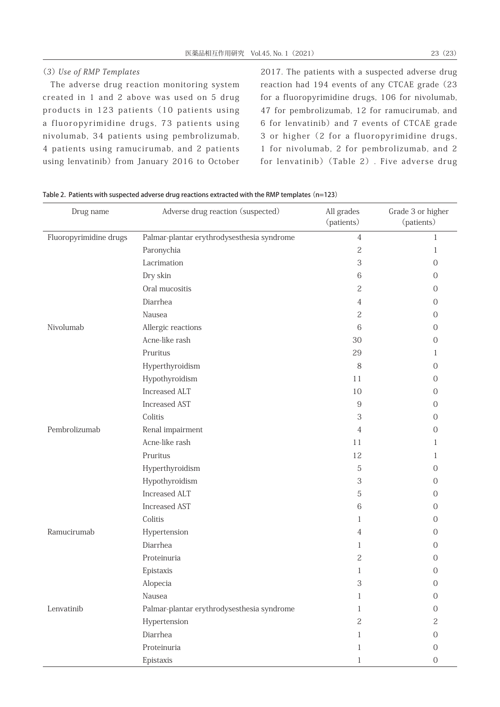# (3) Use of RMP Templates

The adverse drug reaction monitoring system created in 1 and 2 above was used on 5 drug products in 123 patients (10 patients using a fluoropyrimidine drugs, 73 patients using nivolumab, 34 patients using pembrolizumab, 4 patients using ramucirumab, and 2 patients using lenvatinib) from January 2016 to October

2017. The patients with a suspected adverse drug reaction had 194 events of any CTCAE grade (23 for a fluoropyrimidine drugs, 106 for nivolumab, 47 for pembrolizumab, 12 for ramucirumab, and 6 for lenvatinib)and 7 events of CTCAE grade 3 or higher(2 for a fluoropyrimidine drugs, 1 for nivolumab, 2 for pembrolizumab, and 2 for lenvatinib)(Table 2). Five adverse drug

| Drug name              | Adverse drug reaction (suspected)          | All grades<br>(patients) | Grade 3 or higher<br>(patients) |
|------------------------|--------------------------------------------|--------------------------|---------------------------------|
| Fluoropyrimidine drugs | Palmar-plantar erythrodysesthesia syndrome | $\overline{4}$           | 1                               |
|                        | Paronychia                                 | $\overline{c}$           | 1                               |
|                        | Lacrimation                                | 3                        | $\Omega$                        |
|                        | Dry skin                                   | 6                        | 0                               |
|                        | Oral mucositis                             | 2                        | $\Omega$                        |
|                        | Diarrhea                                   | 4                        | $\mathbf{0}$                    |
|                        | Nausea                                     | $\overline{c}$           | 0                               |
| Nivolumab              | Allergic reactions                         | 6                        | 0                               |
|                        | Acne-like rash                             | 30                       | O                               |
|                        | Pruritus                                   | 29                       | 1                               |
|                        | Hyperthyroidism                            | 8                        | $\Omega$                        |
|                        | Hypothyroidism                             | 11                       | $\Omega$                        |
|                        | Increased ALT                              | 10                       | $\Omega$                        |
|                        | <b>Increased AST</b>                       | 9                        | 0                               |
|                        | Colitis                                    | 3                        | 0                               |
| Pembrolizumab          | Renal impairment                           | 4                        | O                               |
|                        | Acne-like rash                             | 11                       | 1                               |
|                        | Pruritus                                   | 12                       | 1                               |
|                        | Hyperthyroidism                            | 5                        | 0                               |
|                        | Hypothyroidism                             | 3                        | $\Omega$                        |
|                        | <b>Increased ALT</b>                       | 5                        | 0                               |
|                        | <b>Increased AST</b>                       | 6                        | 0                               |
|                        | Colitis                                    | 1                        | 0                               |
| Ramucirumab            | Hypertension                               | 4                        | $\Omega$                        |
|                        | Diarrhea                                   | 1                        | $\Omega$                        |
|                        | Proteinuria                                | $\overline{c}$           | 0                               |
|                        | Epistaxis                                  | 1                        | 0                               |
|                        | Alopecia                                   | 3                        | $\overline{0}$                  |
|                        | Nausea                                     | 1                        | O                               |
| Lenvatinib             | Palmar-plantar erythrodysesthesia syndrome | 1                        | 0                               |
|                        | Hypertension                               | $\overline{c}$           | 2                               |
|                        | Diarrhea                                   | 1                        | 0                               |
|                        | Proteinuria                                | 1                        | $\Omega$                        |
|                        | Epistaxis                                  | 1                        | 0                               |

Table 2. Patients with suspected adverse drug reactions extracted with the RMP templates (n=123)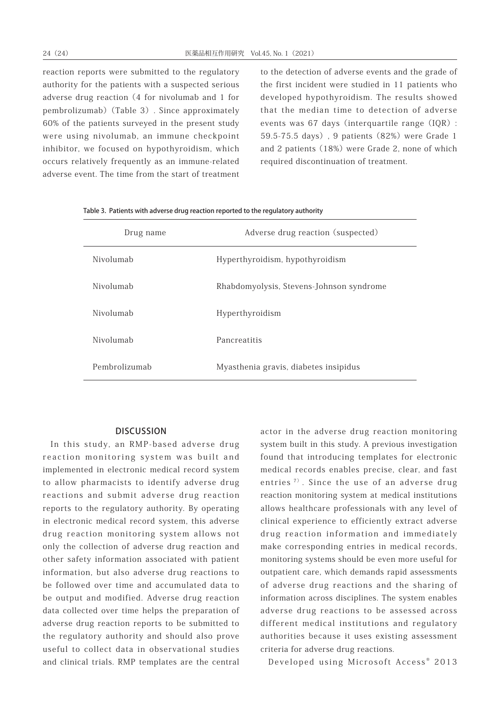reaction reports were submitted to the regulatory authority for the patients with a suspected serious adverse drug reaction(4 for nivolumab and 1 for pembrolizumab)(Table 3). Since approximately 60% of the patients surveyed in the present study were using nivolumab, an immune checkpoint inhibitor, we focused on hypothyroidism, which occurs relatively frequently as an immune-related adverse event. The time from the start of treatment to the detection of adverse events and the grade of the first incident were studied in 11 patients who developed hypothyroidism. The results showed that the median time to detection of adverse events was 67 days (interquartile range (IQR): 59.5-75.5 days), 9 patients (82%) were Grade 1 and 2 patients (18%) were Grade 2, none of which required discontinuation of treatment.

| Drug name     | Adverse drug reaction (suspected)        |
|---------------|------------------------------------------|
| Nivolumab     | Hyperthyroidism, hypothyroidism          |
| Nivolumah     | Rhabdomyolysis, Stevens-Johnson syndrome |
| Nivolumab     | Hyperthyroidism                          |
| Nivolumah     | Pancreatitis                             |
| Pembrolizumab | Myasthenia gravis, diabetes insipidus    |

Table 3. Patients with adverse drug reaction reported to the regulatory authority

#### **DISCUSSION**

In this study, an RMP-based adverse drug reaction monitoring system was built and implemented in electronic medical record system to allow pharmacists to identify adverse drug reactions and submit adverse drug reaction reports to the regulatory authority. By operating in electronic medical record system, this adverse drug reaction monitoring system allows not only the collection of adverse drug reaction and other safety information associated with patient information, but also adverse drug reactions to be followed over time and accumulated data to be output and modified. Adverse drug reaction data collected over time helps the preparation of adverse drug reaction reports to be submitted to the regulatory authority and should also prove useful to collect data in observational studies and clinical trials. RMP templates are the central

actor in the adverse drug reaction monitoring system built in this study. A previous investigation found that introducing templates for electronic medical records enables precise, clear, and fast entries<sup>7)</sup>. Since the use of an adverse drug reaction monitoring system at medical institutions allows healthcare professionals with any level of clinical experience to efficiently extract adverse drug reaction information and immediately make corresponding entries in medical records, monitoring systems should be even more useful for outpatient care, which demands rapid assessments of adverse drug reactions and the sharing of information across disciplines. The system enables adverse drug reactions to be assessed across different medical institutions and regulatory authorities because it uses existing assessment criteria for adverse drug reactions.

Developed using Microsoft Access<sup>®</sup> 2013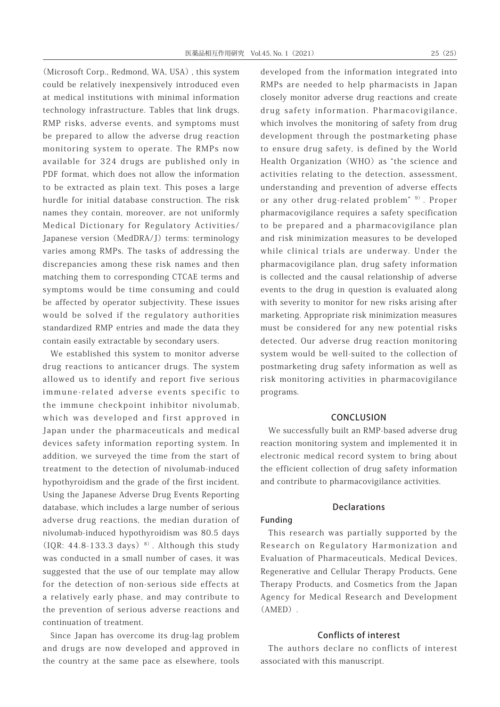(Microsoft Corp., Redmond, WA, USA), this system could be relatively inexpensively introduced even at medical institutions with minimal information technology infrastructure. Tables that link drugs, RMP risks, adverse events, and symptoms must be prepared to allow the adverse drug reaction monitoring system to operate. The RMPs now available for 324 drugs are published only in PDF format, which does not allow the information to be extracted as plain text. This poses a large hurdle for initial database construction. The risk names they contain, moreover, are not uniformly Medical Dictionary for Regulatory Activities/ Japanese version (MedDRA/J) terms: terminology varies among RMPs. The tasks of addressing the discrepancies among these risk names and then matching them to corresponding CTCAE terms and symptoms would be time consuming and could be affected by operator subjectivity. These issues would be solved if the regulatory authorities standardized RMP entries and made the data they contain easily extractable by secondary users.

We established this system to monitor adverse drug reactions to anticancer drugs. The system allowed us to identify and report five serious immune-related adverse events specific to the immune checkpoint inhibitor nivolumab, which was developed and first approved in Japan under the pharmaceuticals and medical devices safety information reporting system. In addition, we surveyed the time from the start of treatment to the detection of nivolumab-induced hypothyroidism and the grade of the first incident. Using the Japanese Adverse Drug Events Reporting database, which includes a large number of serious adverse drug reactions, the median duration of nivolumab-induced hypothyroidism was 80.5 days (IQR: 44.8-133.3 days)  $8$ ). Although this study was conducted in a small number of cases, it was suggested that the use of our template may allow for the detection of non-serious side effects at a relatively early phase, and may contribute to the prevention of serious adverse reactions and continuation of treatment.

Since Japan has overcome its drug-lag problem and drugs are now developed and approved in the country at the same pace as elsewhere, tools developed from the information integrated into RMPs are needed to help pharmacists in Japan closely monitor adverse drug reactions and create drug safety information. Pharmacovigilance, which involves the monitoring of safety from drug development through the postmarketing phase to ensure drug safety, is defined by the World Health Organization (WHO) as "the science and activities relating to the detection, assessment, understanding and prevention of adverse effects or any other drug-related problem" 9). Proper pharmacovigilance requires a safety specification to be prepared and a pharmacovigilance plan and risk minimization measures to be developed while clinical trials are underway. Under the pharmacovigilance plan, drug safety information is collected and the causal relationship of adverse events to the drug in question is evaluated along with severity to monitor for new risks arising after marketing. Appropriate risk minimization measures must be considered for any new potential risks detected. Our adverse drug reaction monitoring system would be well-suited to the collection of postmarketing drug safety information as well as risk monitoring activities in pharmacovigilance programs.

# CONCLUSION

We successfully built an RMP-based adverse drug reaction monitoring system and implemented it in electronic medical record system to bring about the efficient collection of drug safety information and contribute to pharmacovigilance activities.

#### **Declarations**

### Funding

This research was partially supported by the Research on Regulatory Harmonization and Evaluation of Pharmaceuticals, Medical Devices, Regenerative and Cellular Therapy Products, Gene Therapy Products, and Cosmetics from the Japan Agency for Medical Research and Development (AMED).

# Conflicts of interest

The authors declare no conflicts of interest associated with this manuscript.